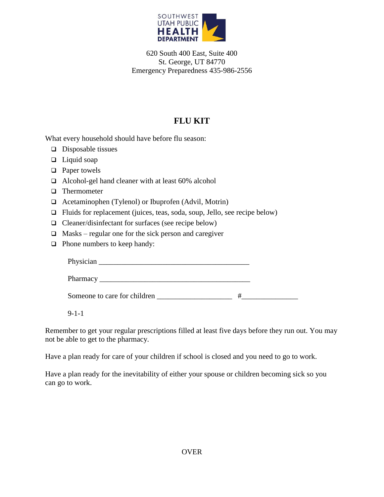

620 South 400 East, Suite 400 St. George, UT 84770 Emergency Preparedness 435-986-2556

## **FLU KIT**

What every household should have before flu season:

- $\Box$  Disposable tissues
- $\Box$  Liquid soap
- □ Paper towels
- Alcohol-gel hand cleaner with at least 60% alcohol
- □ Thermometer
- Acetaminophen (Tylenol) or Ibuprofen (Advil, Motrin)
- $\Box$  Fluids for replacement (juices, teas, soda, soup, Jello, see recipe below)
- $\Box$  Cleaner/disinfectant for surfaces (see recipe below)
- $\Box$  Masks regular one for the sick person and caregiver
- □ Phone numbers to keep handy:

| Someone to care for children |  |
|------------------------------|--|

9-1-1

Remember to get your regular prescriptions filled at least five days before they run out. You may not be able to get to the pharmacy.

Have a plan ready for care of your children if school is closed and you need to go to work.

Have a plan ready for the inevitability of either your spouse or children becoming sick so you can go to work.